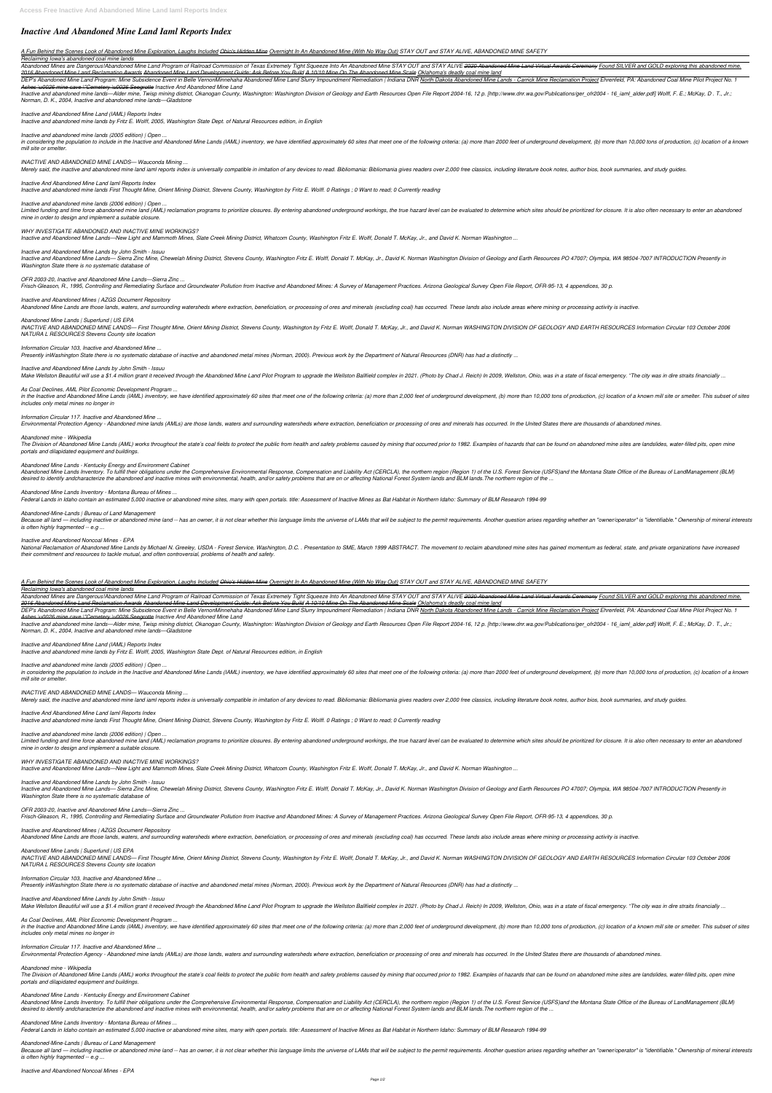# *Inactive And Abandoned Mine Land Iaml Reports Index*

# *A Fun Behind the Scenes Look of Abandoned Mine Exploration, Laughs Included Ohio's Hidden Mine Overnight In An Abandoned Mine (With No Way Out) STAY OUT and STAY ALIVE, ABANDONED MINE SAFETY*

# *Reclaiming Iowa's abandoned coal mine lands*

Abandoned Mines are Dangerous!Abandoned Mine Land Program of Railroad Commission of Texas Extremely Tight Squeeze Into An Abandoned Mine STAY OUT and STAY ALIVE 2020 Abandoned Mine Land Virtual Awards Ceremony Found SILVER *2016 Abandoned Mine Land Reclamation Awards Abandoned Mine Land Development Guide: Ask Before You Build A 10/10 Mine On The Abandoned Mine Scale Oklahoma's deadly coal mine land*

DEP's Abandoned Mine Land Program: Mine Subsidence Event in Belle VernonMinnehaha Abandoned Mine Land Slurry Impoundment Remediation | Indiana DNR North Dakota Abandoned Mine Lands - Carrick Mine Reclamation Project Ehrenf *Ashes \u0026 mine cave \"Cemetery \u0026 Seegrotte Inactive And Abandoned Mine Land*

Inactive and abandoned mine lands—Alder mine, Twisp mining district, Okanogan County, Washington: Washington Division of Geology and Earth Resources Open File Report 2004-16, 12 p. [http://www.dnr.wa.gov/Publications/ger\_o *Norman, D. K., 2004, Inactive and abandoned mine lands—Gladstone*

in considering the population to include in the Inactive and Abandoned Mine Lands (IAML) inventory, we have identified approximately 60 sites that meet one of the following criteria: (a) more than 2000 feet of underground *mill site or smelter.*

Limited funding and time force abandoned mine land (AML) reclamation programs to prioritize closures. By entering abandoned underground workings, the true hazard level can be evaluated to determine which sites should be pr *mine in order to design and implement a suitable closure.*

# *Inactive and Abandoned Mine Land (IAML) Reports Index*

*Inactive and abandoned mine lands by Fritz E. Wolff, 2005, Washington State Dept. of Natural Resources edition, in English*

# *Inactive and abandoned mine lands (2005 edition) | Open ...*

Inactive and Abandoned Mine Lands— Sierra Zinc Mine, Chewelah Mining District, Stevens County, Washington Fritz E. Wolff, Donald T. McKay, Jr., David K. Norman Washington Division of Geology and Earth Resources PO 47007; O *Washington State there is no systematic database of*

# *INACTIVE AND ABANDONED MINE LANDS— Wauconda Mining ...*

Merely said, the inactive and abandoned mine land iaml reports index is universally compatible in imitation of any devices to read. Bibliomania: Bibliomania gives readers over 2,000 free classics, including literature book

INACTIVE AND ABANDONED MINE LANDS— First Thought Mine, Orient Mining District, Stevens County, Washington by Fritz E. Wolff, Donald T. McKay, Jr., and David K. Norman WASHINGTON DIVISION OF GEOLOGY AND EARTH RESOURCES Info *NATURA L RESOURCES Stevens County site location*

# *Inactive And Abandoned Mine Land Iaml Reports Index*

*Inactive and abandoned mine lands First Thought Mine, Orient Mining District, Stevens County, Washington by Fritz E. Wolff. 0 Ratings ; 0 Want to read; 0 Currently reading*

### *Inactive and abandoned mine lands (2006 edition) | Open ...*

in the Inactive and Abandoned Mine Lands (IAML) inventory, we have identified approximately 60 sites that meet one of the following criteria: (a) more than 10,000 tons of production, (c) location of a known mill site or sm *includes only metal mines no longer in*

# *WHY INVESTIGATE ABANDONED AND INACTIVE MINE WORKINGS?*

The Division of Abandoned Mine Lands (AML) works throughout the state's coal fields to protect the public from health and safety problems caused by mining that occurred prior to 1982. Examples of hazards that can be found *portals and dilapidated equipment and buildings.*

*Inactive and Abandoned Mine Lands—New Light and Mammoth Mines, Slate Creek Mining District, Whatcom County, Washington Fritz E. Wolff, Donald T. McKay, Jr., and David K. Norman Washington ...*

# *Inactive and Abandoned Mine Lands by John Smith - Issuu*

# *OFR 2003-20, Inactive and Abandoned Mine Lands—Sierra Zinc ...*

Frisch-Gleason, R., 1995, Controlling and Remediating Surface and Groundwater Pollution from Inactive and Abandoned Mines: A Survey of Management Practices. Arizona Geological Survey Open File Report, OFR-95-13, 4 appendic

Because all land — including inactive or abandoned mine land -- has an owner, it is not clear whether this language limits the universe of LAMs that will be subject to the permit requirements. Another question arises regar *is often highly fragmented -- e.g ...*

National Reclamation of Abandoned Mine Lands by Michael N. Greeley, USDA - Forest Service, Washington, D.C. . Presentation to SME, March 1999 ABSTRACT. The movement to reclaim abandoned mine sites has gained momentum as fe *their commitment and resources to tackle mutual, and often controversial, problems of health and safety.*

# *Inactive and Abandoned Mines | AZGS Document Repository*

Abandoned Mine Lands are those lands, waters, and surrounding watersheds where extraction, beneficiation, or processing of ores and minerals (excluding coal) has occurred. These lands also include areas where mining or pro

# *Abandoned Mine Lands | Superfund | US EPA*

Abandoned Mines are Dangerous!Abandoned Mine Land Program of Railroad Commission of Texas Extremely Tight Squeeze Into An Abandoned Mine STAY ALIVE 2020 Abandoned Mine Land Virtual Awards Ceremony Found SILVER and GOLD exp *2016 Abandoned Mine Land Reclamation Awards Abandoned Mine Land Development Guide: Ask Before You Build A 10/10 Mine On The Abandoned Mine Scale Oklahoma's deadly coal mine land*

DEP's Abandoned Mine Land Program: Mine Subsidence Event in Belle VernonMinnehaha Abandoned Mine Land Slurry Impoundment Remediation | Indiana DNR North Dakota Abandoned Mine Lands - Carrick Mine Reclamation Project Ehrenf *Ashes \u0026 mine cave \"Cemetery \u0026 Seegrotte Inactive And Abandoned Mine Land*

# *Information Circular 103, Inactive and Abandoned Mine ...*

Inactive and abandoned mine lands—Alder mine, Twisp mining district, Okanogan County, Washington: Washington Division of Geology and Earth Resources Open File Report 2004-16, 12 p. [http://www.dnr.wa.gov/Publications/ger o *Norman, D. K., 2004, Inactive and abandoned mine lands—Gladstone*

*Presently inWashington State there is no systematic database of inactive and abandoned metal mines (Norman, 2000). Previous work by the Department of Natural Resources (DNR) has had a distinctly ...*

# *Inactive and Abandoned Mine Lands by John Smith - Issuu*

Make Wellston Beautiful will use a \$1.4 million grant it received through the Abandoned Mine Land Pilot Program to upgrade the Wellston Ballfield complex in 2021. (Photo by Chad J. Reich) In 2009, Wellston, Ohio, was in a

in considering the population to include in the Inactive and Abandoned Mine Lands (IAML) inventory, we have identified approximately 60 sites that meet one of the following criteria: (a) more than 2000 feet of underground *mill site or smelter.*

# *As Coal Declines, AML Pilot Economic Development Program ...*

Limited funding and time force abandoned mine land (AML) reclamation programs to prioritize closures. By entering abandoned underground workings, the true hazard level can be evaluated to determine which sites should be pr *mine in order to design and implement a suitable closure.*

#### *Information Circular 117. Inactive and Abandoned Mine ...*

Environmental Protection Agency - Abandoned mine lands (AMLs) are those lands, waters and surrounding watersheds where extraction, beneficiation or processing of ores and minerals has occurred. In the United States there a

Inactive and Abandoned Mine Lands— Sierra Zinc Mine, Chewelah Mining District, Stevens County, Washington Fritz E. Wolff, Donald T. McKay, Jr., David K. Norman Washington Division of Geology and Earth Resources PO 47007; O *Washington State there is no systematic database of*

#### *Abandoned mine - Wikipedia*

INACTIVE AND ABANDONED MINE LANDS— First Thought Mine, Orient Mining District, Stevens County, Washington by Fritz E. Wolff, Donald T. McKay, Jr., and David K. Norman WASHINGTON DIVISION OF GEOLOGY AND EARTH RESOURCES Info *NATURA L RESOURCES Stevens County site location*

#### *Abandoned Mine Lands - Kentucky Energy and Environment Cabinet*

Abandoned Mine Lands Inventory. To fulfill their obligations under the Comprehensive Environmental Response, Compensation and Liability Act (CERCLA), the northern region (Region 1) of the U.S. Forest Service (USFS)and the desired to identify andcharacterize the abandoned and inactive mines with environmental, health, and/or safety problems that are on or affecting National Forest System lands and BLM lands. The northern region of the ...

in the Inactive and Abandoned Mine Lands (IAML) inventory, we have identified approximately 60 sites that meet one of the following criteria: (a) more than 2,000 feet of underground development, (b) more than 10,000 tons o *includes only metal mines no longer in*

### *Abandoned Mine Lands Inventory - Montana Bureau of Mines ...*

*Federal Lands in Idaho contain an estimated 5,000 inactive or abandoned mine sites, many with open portals. title: Assessment of Inactive Mines as Bat Habitat in Northern Idaho: Summary of BLM Research 1994-99*

The Division of Abandoned Mine Lands (AML) works throughout the state's coal fields to protect the public from health and safety problems caused by mining that occurred prior to 1982. Examples of hazards that can be found *portals and dilapidated equipment and buildings.*

### *Abandoned-Mine-Lands | Bureau of Land Management*

### *Inactive and Abandoned Noncoal Mines - EPA*

Because all land — including inactive or abandoned mine land -- has an owner, it is not clear whether this language limits the universe of LAMs that will be subject to the permit requirements. Another question arises regar *is often highly fragmented -- e.g ...*

*A Fun Behind the Scenes Look of Abandoned Mine Exploration, Laughs Included Ohio's Hidden Mine Overnight In An Abandoned Mine (With No Way Out) STAY OUT and STAY ALIVE, ABANDONED MINE SAFETY*

#### *Reclaiming Iowa's abandoned coal mine lands*

#### *Inactive and Abandoned Mine Land (IAML) Reports Index*

*Inactive and abandoned mine lands by Fritz E. Wolff, 2005, Washington State Dept. of Natural Resources edition, in English*

#### *Inactive and abandoned mine lands (2005 edition) | Open ...*

#### *INACTIVE AND ABANDONED MINE LANDS— Wauconda Mining ...*

Merely said, the inactive and abandoned mine land iaml reports index is universally compatible in imitation of any devices to read. Bibliomania: Bibliomania gives readers over 2,000 free classics, including literature book

#### *Inactive And Abandoned Mine Land Iaml Reports Index*

*Inactive and abandoned mine lands First Thought Mine, Orient Mining District, Stevens County, Washington by Fritz E. Wolff. 0 Ratings ; 0 Want to read; 0 Currently reading*

# *Inactive and abandoned mine lands (2006 edition) | Open ...*

# *WHY INVESTIGATE ABANDONED AND INACTIVE MINE WORKINGS?*

*Inactive and Abandoned Mine Lands—New Light and Mammoth Mines, Slate Creek Mining District, Whatcom County, Washington Fritz E. Wolff, Donald T. McKay, Jr., and David K. Norman Washington ...*

# *Inactive and Abandoned Mine Lands by John Smith - Issuu*

# *OFR 2003-20, Inactive and Abandoned Mine Lands—Sierra Zinc ...*

Frisch-Gleason, R., 1995, Controlling and Remediating Surface and Groundwater Pollution from Inactive and Abandoned Mines: A Survey of Management Practices. Arizona Geological Survey Open File Report, OFR-95-13, 4 appendic

#### *Inactive and Abandoned Mines | AZGS Document Repository*

Abandoned Mine Lands are those lands, waters, and surrounding watersheds where extraction, beneficiation, or processing of ores and minerals (excluding coal) has occurred. These lands also include areas where mining or pro

#### *Abandoned Mine Lands | Superfund | US EPA*

### *Information Circular 103, Inactive and Abandoned Mine ...*

*Presently inWashington State there is no systematic database of inactive and abandoned metal mines (Norman, 2000). Previous work by the Department of Natural Resources (DNR) has had a distinctly ...*

# *Inactive and Abandoned Mine Lands by John Smith - Issuu*

Make Wellston Beautiful will use a \$1.4 million grant it received through the Abandoned Mine Land Pilot Program to upgrade the Wellston Ballfield complex in 2021. (Photo by Chad J. Reich) In 2009, Wellston, Ohio, was in a

#### *As Coal Declines, AML Pilot Economic Development Program ...*

#### *Information Circular 117. Inactive and Abandoned Mine ...*

Environmental Protection Agency - Abandoned mine lands (AMLs) are those lands, waters and surrounding watersheds where extraction, beneficiation or processing of ores and minerals has occurred. In the United States there a

#### *Abandoned mine - Wikipedia*

#### *Abandoned Mine Lands - Kentucky Energy and Environment Cabinet*

Abandoned Mine Lands Inventory. To fulfill their obligations under the Comprehensive Environmental Response, Compensation and Liability Act (CERCLA), the northern region (Region 1) of the U.S. Forest Service (USFS)and the desired to identify andcharacterize the abandoned and inactive mines with environmental, health, and/or safety problems that are on or affecting National Forest System lands and BLM lands. The northern region of the ...

### *Abandoned Mine Lands Inventory - Montana Bureau of Mines ...*

*Federal Lands in Idaho contain an estimated 5,000 inactive or abandoned mine sites, many with open portals. title: Assessment of Inactive Mines as Bat Habitat in Northern Idaho: Summary of BLM Research 1994-99*

#### *Abandoned-Mine-Lands | Bureau of Land Management*

### *Inactive and Abandoned Noncoal Mines - EPA*